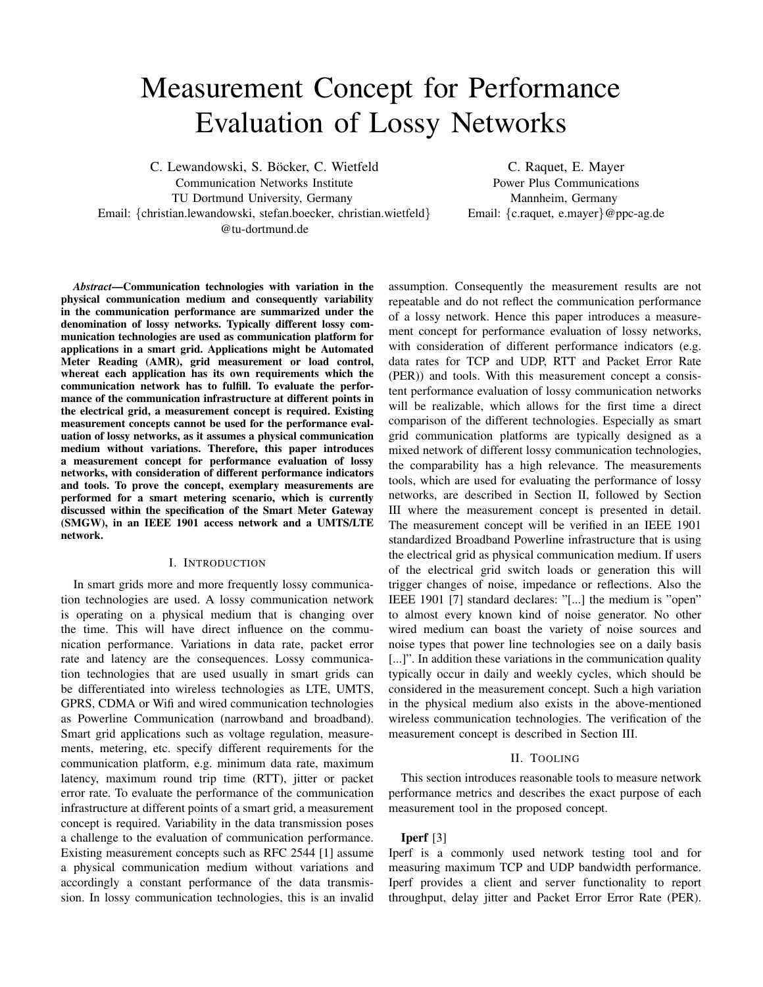# Measurement Concept for Performance Evaluation of Lossy Networks

C. Lewandowski, S. Böcker, C. Wietfeld

Communication Networks Institute TU Dortmund University, Germany

Email: {christian.lewandowski, stefan.boecker, christian.wietfeld} @tu-dortmund.de

C. Raquet, E. Mayer Power Plus Communications Mannheim, Germany Email: {c.raquet, e.mayer}@ppc-ag.de

*Abstract*—Communication technologies with variation in the physical communication medium and consequently variability in the communication performance are summarized under the denomination of lossy networks. Typically different lossy communication technologies are used as communication platform for applications in a smart grid. Applications might be Automated Meter Reading (AMR), grid measurement or load control, whereat each application has its own requirements which the communication network has to fulfill. To evaluate the performance of the communication infrastructure at different points in the electrical grid, a measurement concept is required. Existing measurement concepts cannot be used for the performance evaluation of lossy networks, as it assumes a physical communication medium without variations. Therefore, this paper introduces a measurement concept for performance evaluation of lossy networks, with consideration of different performance indicators and tools. To prove the concept, exemplary measurements are performed for a smart metering scenario, which is currently discussed within the specification of the Smart Meter Gateway (SMGW), in an IEEE 1901 access network and a UMTS/LTE network.

#### I. INTRODUCTION

In smart grids more and more frequently lossy communication technologies are used. A lossy communication network is operating on a physical medium that is changing over the time. This will have direct influence on the communication performance. Variations in data rate, packet error rate and latency are the consequences. Lossy communication technologies that are used usually in smart grids can be differentiated into wireless technologies as LTE, UMTS, GPRS, CDMA or Wifi and wired communication technologies as Powerline Communication (narrowband and broadband). Smart grid applications such as voltage regulation, measurements, metering, etc. specify different requirements for the communication platform, e.g. minimum data rate, maximum latency, maximum round trip time (RTT), jitter or packet error rate. To evaluate the performance of the communication infrastructure at different points of a smart grid, a measurement concept is required. Variability in the data transmission poses a challenge to the evaluation of communication performance. Existing measurement concepts such as RFC 2544 [1] assume a physical communication medium without variations and accordingly a constant performance of the data transmission. In lossy communication technologies, this is an invalid assumption. Consequently the measurement results are not repeatable and do not reflect the communication performance of a lossy network. Hence this paper introduces a measurement concept for performance evaluation of lossy networks, with consideration of different performance indicators (e.g. data rates for TCP and UDP, RTT and Packet Error Rate (PER)) and tools. With this measurement concept a consistent performance evaluation of lossy communication networks will be realizable, which allows for the first time a direct comparison of the different technologies. Especially as smart grid communication platforms are typically designed as a mixed network of different lossy communication technologies, the comparability has a high relevance. The measurements tools, which are used for evaluating the performance of lossy networks, are described in Section II, followed by Section III where the measurement concept is presented in detail. The measurement concept will be verified in an IEEE 1901 standardized Broadband Powerline infrastructure that is using the electrical grid as physical communication medium. If users of the electrical grid switch loads or generation this will trigger changes of noise, impedance or reflections. Also the IEEE 1901 [7] standard declares: "[...] the medium is "open" to almost every known kind of noise generator. No other wired medium can boast the variety of noise sources and noise types that power line technologies see on a daily basis [...]". In addition these variations in the communication quality typically occur in daily and weekly cycles, which should be considered in the measurement concept. Such a high variation in the physical medium also exists in the above-mentioned wireless communication technologies. The verification of the measurement concept is described in Section III.

#### II. TOOLING

This section introduces reasonable tools to measure network performance metrics and describes the exact purpose of each measurement tool in the proposed concept.

#### Iperf [3]

Iperf is a commonly used network testing tool and for measuring maximum TCP and UDP bandwidth performance. Iperf provides a client and server functionality to report throughput, delay jitter and Packet Error Error Rate (PER).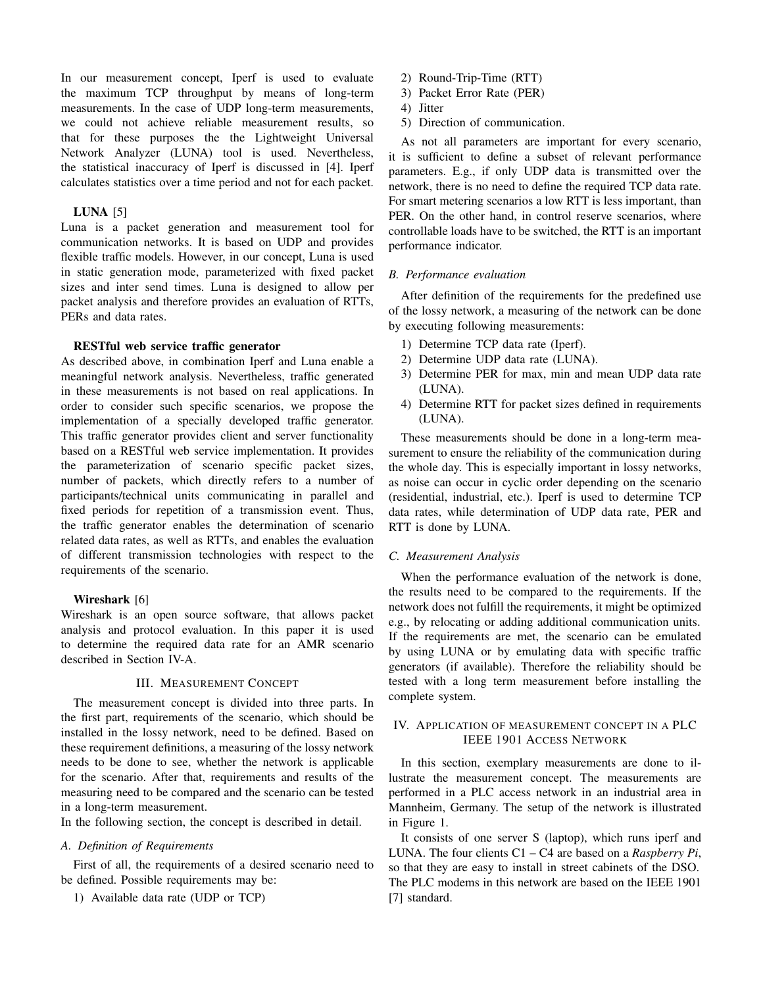In our measurement concept, Iperf is used to evaluate the maximum TCP throughput by means of long-term measurements. In the case of UDP long-term measurements, we could not achieve reliable measurement results, so that for these purposes the the Lightweight Universal Network Analyzer (LUNA) tool is used. Nevertheless, the statistical inaccuracy of Iperf is discussed in [4]. Iperf calculates statistics over a time period and not for each packet.

#### LUNA  $[5]$

Luna is a packet generation and measurement tool for communication networks. It is based on UDP and provides flexible traffic models. However, in our concept, Luna is used in static generation mode, parameterized with fixed packet sizes and inter send times. Luna is designed to allow per packet analysis and therefore provides an evaluation of RTTs, PERs and data rates.

#### RESTful web service traffic generator

As described above, in combination Iperf and Luna enable a meaningful network analysis. Nevertheless, traffic generated in these measurements is not based on real applications. In order to consider such specific scenarios, we propose the implementation of a specially developed traffic generator. This traffic generator provides client and server functionality based on a RESTful web service implementation. It provides the parameterization of scenario specific packet sizes, number of packets, which directly refers to a number of participants/technical units communicating in parallel and fixed periods for repetition of a transmission event. Thus, the traffic generator enables the determination of scenario related data rates, as well as RTTs, and enables the evaluation of different transmission technologies with respect to the requirements of the scenario.

## Wireshark [6]

Wireshark is an open source software, that allows packet analysis and protocol evaluation. In this paper it is used to determine the required data rate for an AMR scenario described in Section IV-A.

#### III. MEASUREMENT CONCEPT

The measurement concept is divided into three parts. In the first part, requirements of the scenario, which should be installed in the lossy network, need to be defined. Based on these requirement definitions, a measuring of the lossy network needs to be done to see, whether the network is applicable for the scenario. After that, requirements and results of the measuring need to be compared and the scenario can be tested in a long-term measurement.

In the following section, the concept is described in detail.

### *A. Definition of Requirements*

First of all, the requirements of a desired scenario need to be defined. Possible requirements may be:

1) Available data rate (UDP or TCP)

- 2) Round-Trip-Time (RTT)
- 3) Packet Error Rate (PER)
- 4) Jitter
- 5) Direction of communication.

As not all parameters are important for every scenario, it is sufficient to define a subset of relevant performance parameters. E.g., if only UDP data is transmitted over the network, there is no need to define the required TCP data rate. For smart metering scenarios a low RTT is less important, than PER. On the other hand, in control reserve scenarios, where controllable loads have to be switched, the RTT is an important performance indicator.

#### *B. Performance evaluation*

After definition of the requirements for the predefined use of the lossy network, a measuring of the network can be done by executing following measurements:

- 1) Determine TCP data rate (Iperf).
- 2) Determine UDP data rate (LUNA).
- 3) Determine PER for max, min and mean UDP data rate (LUNA).
- 4) Determine RTT for packet sizes defined in requirements (LUNA).

These measurements should be done in a long-term measurement to ensure the reliability of the communication during the whole day. This is especially important in lossy networks, as noise can occur in cyclic order depending on the scenario (residential, industrial, etc.). Iperf is used to determine TCP data rates, while determination of UDP data rate, PER and RTT is done by LUNA.

#### *C. Measurement Analysis*

When the performance evaluation of the network is done, the results need to be compared to the requirements. If the network does not fulfill the requirements, it might be optimized e.g., by relocating or adding additional communication units. If the requirements are met, the scenario can be emulated by using LUNA or by emulating data with specific traffic generators (if available). Therefore the reliability should be tested with a long term measurement before installing the complete system.

## IV. APPLICATION OF MEASUREMENT CONCEPT IN A PLC IEEE 1901 ACCESS NETWORK

In this section, exemplary measurements are done to illustrate the measurement concept. The measurements are performed in a PLC access network in an industrial area in Mannheim, Germany. The setup of the network is illustrated in Figure 1.

It consists of one server S (laptop), which runs iperf and LUNA. The four clients C1 – C4 are based on a *Raspberry Pi*, so that they are easy to install in street cabinets of the DSO. The PLC modems in this network are based on the IEEE 1901 [7] standard.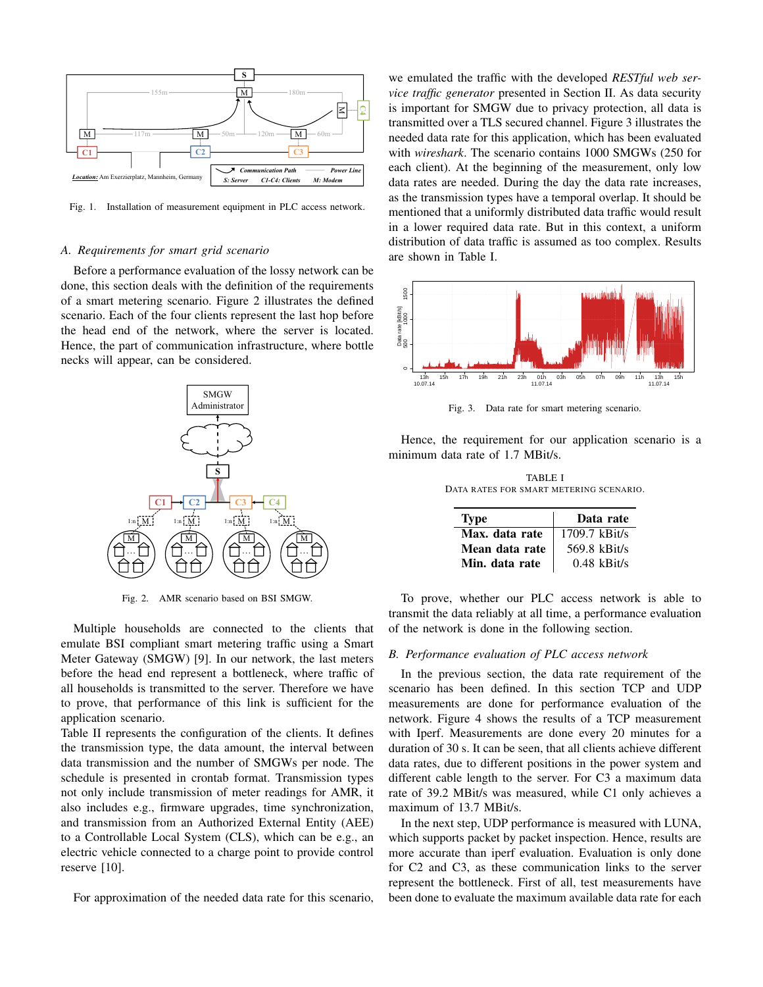

Fig. 1. Installation of measurement equipment in PLC access network.

#### *A. Requirements for smart grid scenario*

Before a performance evaluation of the lossy network can be done, this section deals with the definition of the requirements of a smart metering scenario. Figure 2 illustrates the defined scenario. Each of the four clients represent the last hop before the head end of the network, where the server is located. Hence, the part of communication infrastructure, where bottle necks will appear, can be considered.



Fig. 2. AMR scenario based on BSI SMGW.

Multiple households are connected to the clients that emulate BSI compliant smart metering traffic using a Smart Meter Gateway (SMGW) [9]. In our network, the last meters before the head end represent a bottleneck, where traffic of all households is transmitted to the server. Therefore we have to prove, that performance of this link is sufficient for the application scenario.

Table II represents the configuration of the clients. It defines the transmission type, the data amount, the interval between data transmission and the number of SMGWs per node. The schedule is presented in crontab format. Transmission types not only include transmission of meter readings for AMR, it also includes e.g., firmware upgrades, time synchronization, and transmission from an Authorized External Entity (AEE) to a Controllable Local System (CLS), which can be e.g., an electric vehicle connected to a charge point to provide control reserve [10].

For approximation of the needed data rate for this scenario,

we emulated the traffic with the developed *RESTful web service traffic generator* presented in Section II. As data security is important for SMGW due to privacy protection, all data is transmitted over a TLS secured channel. Figure 3 illustrates the needed data rate for this application, which has been evaluated with *wireshark*. The scenario contains 1000 SMGWs (250 for each client). At the beginning of the measurement, only low data rates are needed. During the day the data rate increases, as the transmission types have a temporal overlap. It should be mentioned that a uniformly distributed data traffic would result in a lower required data rate. But in this context, a uniform distribution of data traffic is assumed as too complex. Results are shown in Table I.



Fig. 3. Data rate for smart metering scenario.

Hence, the requirement for our application scenario is a minimum data rate of 1.7 MBit/s.

TABLE I DATA RATES FOR SMART METERING SCENARIO.

| <b>Type</b>    | Data rate       |  |
|----------------|-----------------|--|
| Max. data rate | $1709.7$ kBit/s |  |
| Mean data rate | 569.8 kBit/s    |  |
| Min. data rate | $0.48$ kBit/s   |  |

To prove, whether our PLC access network is able to transmit the data reliably at all time, a performance evaluation of the network is done in the following section.

#### *B. Performance evaluation of PLC access network*

In the previous section, the data rate requirement of the scenario has been defined. In this section TCP and UDP measurements are done for performance evaluation of the network. Figure 4 shows the results of a TCP measurement with Iperf. Measurements are done every 20 minutes for a duration of 30 s. It can be seen, that all clients achieve different data rates, due to different positions in the power system and different cable length to the server. For C3 a maximum data rate of 39.2 MBit/s was measured, while C1 only achieves a maximum of 13.7 MBit/s.

In the next step, UDP performance is measured with LUNA, which supports packet by packet inspection. Hence, results are more accurate than iperf evaluation. Evaluation is only done for C2 and C3, as these communication links to the server represent the bottleneck. First of all, test measurements have been done to evaluate the maximum available data rate for each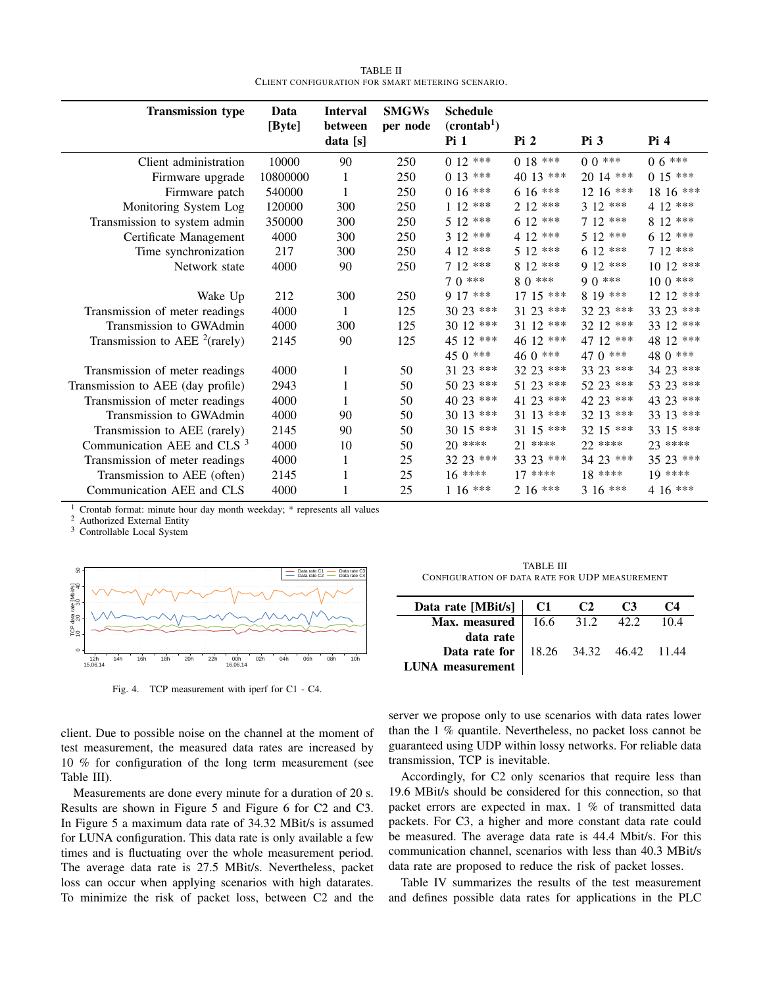| TABLE II                                          |
|---------------------------------------------------|
| CLIENT CONFIGURATION FOR SMART METERING SCENARIO. |

| <b>Transmission type</b>               | Data<br>[Byte] | <b>Interval</b><br>between | <b>SMGWs</b><br>per node | <b>Schedule</b><br>(crontab <sup>1</sup> ) |             |             |                        |
|----------------------------------------|----------------|----------------------------|--------------------------|--------------------------------------------|-------------|-------------|------------------------|
|                                        |                | data[s]                    |                          | Pi1                                        | Pi2         | Pi3         | Pi4                    |
| Client administration                  | 10000          | 90                         | 250                      | $0.12***$                                  | $0.18***$   | $00***$     | $0.6***$               |
| Firmware upgrade                       | 10800000       | 1                          | 250                      | $0.13***$                                  | 40 13 ***   | $2014$ ***  | $0.15***$              |
| Firmware patch                         | 540000         |                            | 250                      | $0.16***$                                  | $6.16***$   | $12.16$ *** | 18 16 ***              |
| Monitoring System Log                  | 120000         | 300                        | 250                      | $112$ ***                                  | $212$ ***   | $312***$    | 4 12 ***               |
| Transmission to system admin           | 350000         | 300                        | 250                      | $512***$                                   | $612$ ***   | $712$ ***   | $812$ ***              |
| Certificate Management                 | 4000           | 300                        | 250                      | $312***$                                   | 4 12 ***    | $512$ ***   | $612$ ***              |
| Time synchronization                   | 217            | 300                        | 250                      | 4 12 ***                                   | $512$ ***   | $612$ ***   | $712$ ***              |
| Network state                          | 4000           | 90                         | 250                      | $712$ ***                                  | $812$ ***   | $912$ ***   | $1012$ ***             |
|                                        |                |                            |                          | $70***$                                    | $8.0***$    | $9.0***$    | $100$ ***              |
| Wake Up                                | 212            | 300                        | 250                      | $917***$                                   | $17.15$ *** | 8 19 ***    | $12 \frac{12}{12}$ *** |
| Transmission of meter readings         | 4000           |                            | 125                      | $3023$ ***                                 | $3123$ ***  | 32 23 ***   | 33 23 ***              |
| Transmission to GWAdmin                | 4000           | 300                        | 125                      | $3012$ ***                                 | $3112$ ***  | $32.12$ *** | 33 12 ***              |
| Transmission to AEE $^{2}$ (rarely)    | 2145           | 90                         | 125                      | 45 12 ***                                  | 46 12 ***   | 47 12 ***   | 48 12 ***              |
|                                        |                |                            |                          | $45.0***$                                  | $460***$    | 47 0 ***    | 48 0 ***               |
| Transmission of meter readings         | 4000           | 1                          | 50                       | 31 23 ***                                  | 32 23 ***   | 33 23 ***   | 34 23 ***              |
| Transmission to AEE (day profile)      | 2943           |                            | 50                       | 50 23 ***                                  | $5123$ ***  | 52 23 ***   | 53 23 ***              |
| Transmission of meter readings         | 4000           |                            | 50                       | 40 23 ***                                  | 41 23 ***   | 42 23 ***   | 43 23 ***              |
| Transmission to GWAdmin                | 4000           | 90                         | 50                       | $3013$ ***                                 | $3113$ ***  | $3213$ ***  | 33 13 ***              |
| Transmission to AEE (rarely)           | 2145           | 90                         | 50                       | 30 15 ***                                  | $3115$ ***  | 32 15 ***   | 33 15 ***              |
| Communication AEE and CLS <sup>3</sup> | 4000           | 10                         | 50                       | $20***$                                    | $21$ ****   | $22$ ****   | $23$ ****              |
| Transmission of meter readings         | 4000           | 1                          | 25                       | 32 23 ***                                  | 33 23 ***   | 34 23 ***   | 35 23 ***              |
| Transmission to AEE (often)            | 2145           |                            | 25                       | $16***$                                    | $17***$     | $18***$     | $19***$                |
| Communication AEE and CLS              | 4000           |                            | 25                       | $116***$                                   | $2.16***$   | $316***$    | $4.16***$              |

<sup>1</sup> Crontab format: minute hour day month weekday;  $*$  represents all values  $\frac{2}{3}$  Authorized External Eatity.

<sup>2</sup> Authorized External Entity

<sup>3</sup> Controllable Local System



Fig. 4. TCP measurement with iperf for C1 - C4.

client. Due to possible noise on the channel at the moment of test measurement, the measured data rates are increased by 10 % for configuration of the long term measurement (see Table III).

Measurements are done every minute for a duration of 20 s. Results are shown in Figure 5 and Figure 6 for C2 and C3. In Figure 5 a maximum data rate of 34.32 MBit/s is assumed for LUNA configuration. This data rate is only available a few times and is fluctuating over the whole measurement period. The average data rate is 27.5 MBit/s. Nevertheless, packet loss can occur when applying scenarios with high datarates. To minimize the risk of packet loss, between C2 and the

TABLE III CONFIGURATION OF DATA RATE FOR UDP MEASUREMENT

| Data rate [MBit/s] $\vert$ C1                      | C2 | C3 | C4   |
|----------------------------------------------------|----|----|------|
| <b>Max. measured</b>   16.6 31.2 $\overline{42.2}$ |    |    | 10.4 |
| data rate                                          |    |    |      |
| <b>Data rate for</b>   18.26 34.32 46.42 11.44     |    |    |      |
| <b>LUNA</b> measurement                            |    |    |      |

server we propose only to use scenarios with data rates lower than the 1 % quantile. Nevertheless, no packet loss cannot be guaranteed using UDP within lossy networks. For reliable data transmission, TCP is inevitable.

Accordingly, for C2 only scenarios that require less than 19.6 MBit/s should be considered for this connection, so that packet errors are expected in max. 1 % of transmitted data packets. For C3, a higher and more constant data rate could be measured. The average data rate is 44.4 Mbit/s. For this communication channel, scenarios with less than 40.3 MBit/s data rate are proposed to reduce the risk of packet losses.

Table IV summarizes the results of the test measurement and defines possible data rates for applications in the PLC